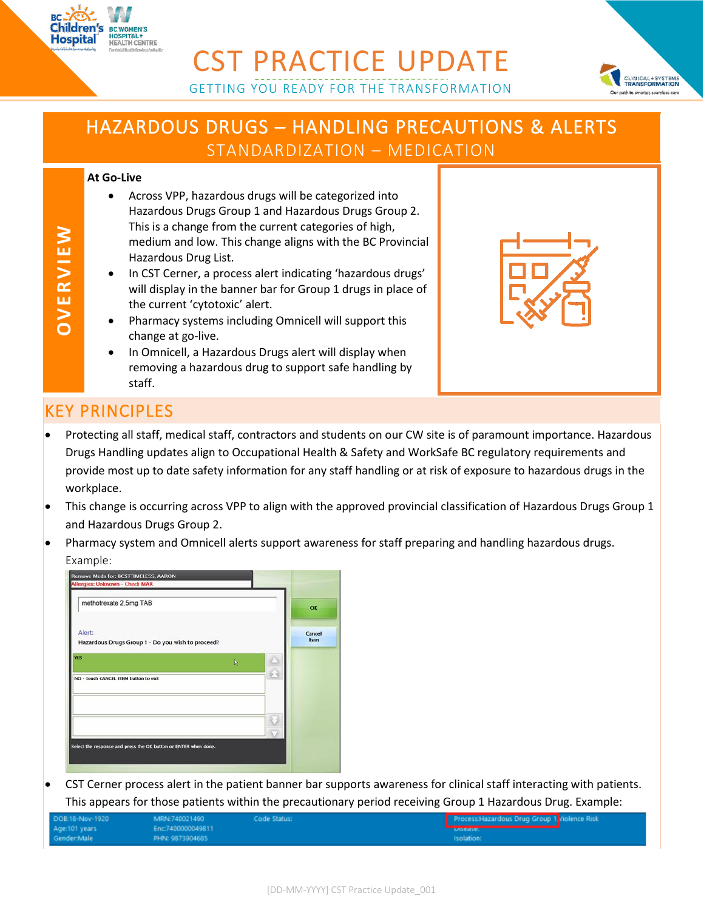



## HAZARDOUS DRUGS – HANDLING PRECAUTIONS & ALERTS

STANDARDIZATION – MEDICATION

#### **At Go-Live**

**BC WOMEN'S HOSPITAL+<br>HOSPITAL+**<br>HEALTH CENTRE

**Children's** 

Hospital

- Across VPP, hazardous drugs will be categorized into Hazardous Drugs Group 1 and Hazardous Drugs Group 2. This is a change from the current categories of high, medium and low. This change aligns with the BC Provincial Hazardous Drug List.
- In CST Cerner, a process alert indicating 'hazardous drugs' will display in the banner bar for Group 1 drugs in place of the current 'cytotoxic' alert.
- Pharmacy systems including Omnicell will support this change at go-live.
- In Omnicell, a Hazardous Drugs alert will display when removing a hazardous drug to support safe handling by staff.



### KEY PRINCIPLES

- Protecting all staff, medical staff, contractors and students on our CW site is of paramount importance. Hazardous Drugs Handling updates align to Occupational Health & Safety and WorkSafe BC regulatory requirements and provide most up to date safety information for any staff handling or at risk of exposure to hazardous drugs in the workplace.
- This change is occurring across VPP to align with the approved provincial classification of Hazardous Drugs Group 1 and Hazardous Drugs Group 2.
- Pharmacy system and Omnicell alerts support awareness for staff preparing and handling hazardous drugs. Example:



 CST Cerner process alert in the patient banner bar supports awareness for clinical staff interacting with patients. This appears for those patients within the precautionary period receiving Group 1 Hazardous Drug. Example:

| DOB:18-Nov-1920 | MRN:740021490     | Code Status: | Process:Hazardous Drug Group 1 Violence Risk |  |
|-----------------|-------------------|--------------|----------------------------------------------|--|
| Age:101 years   | Enc:7400000049811 |              |                                              |  |
| Gender:Male     | PHN: 9873904685   |              | Isolation:                                   |  |

**OV ERVIEW**